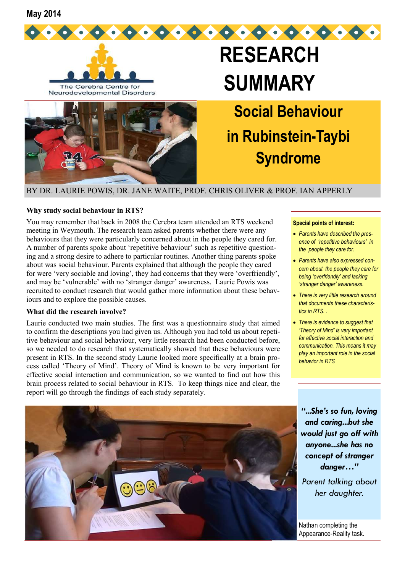**May 2014** 





Neurodevelopmental Disorders



# **RESEARCH SUMMARY**

**Social Behaviour in Rubinstein-Taybi Syndrome** 

BY DR. LAURIE POWIS, DR. JANE WAITE, PROF. CHRIS OLIVER & PROF. IAN APPERLY

### **Why study social behaviour in RTS?**

You may remember that back in 2008 the Cerebra team attended an RTS weekend meeting in Weymouth. The research team asked parents whether there were any behaviours that they were particularly concerned about in the people they cared for. A number of parents spoke about 'repetitive behaviour' such as repetitive questioning and a strong desire to adhere to particular routines. Another thing parents spoke about was social behaviour. Parents explained that although the people they cared for were 'very sociable and loving', they had concerns that they were 'overfriendly', and may be 'vulnerable' with no 'stranger danger' awareness. Laurie Powis was recruited to conduct research that would gather more information about these behaviours and to explore the possible causes.

#### **What did the research involve?**

Laurie conducted two main studies. The first was a questionnaire study that aimed to confirm the descriptions you had given us. Although you had told us about repetitive behaviour and social behaviour, very little research had been conducted before, so we needed to do research that systematically showed that these behaviours were present in RTS. In the second study Laurie looked more specifically at a brain process called 'Theory of Mind'. Theory of Mind is known to be very important for effective social interaction and communication, so we wanted to find out how this brain process related to social behaviour in RTS. To keep things nice and clear, the report will go through the findings of each study separately.

#### **Special points of interest:**

- *Parents have described the presence of 'repetitive behaviours' in the people they care for.*
- *Parents have also expressed concern about the people they care for being 'overfriendly' and lacking 'stranger danger' awareness.*
- *There is very little research around that documents these characteristics in RTS. .*
- *There is evidence to suggest that 'Theory of Mind' is very important for effective social interaction and communication. This means it may play an important role in the social behavior in RTS*



*"...She's so fun, loving and caring...but she would just go off with anyone...she has no concept of stranger danger…"* 

*Parent talking about her daughter.*

Nathan completing the Appearance-Reality task.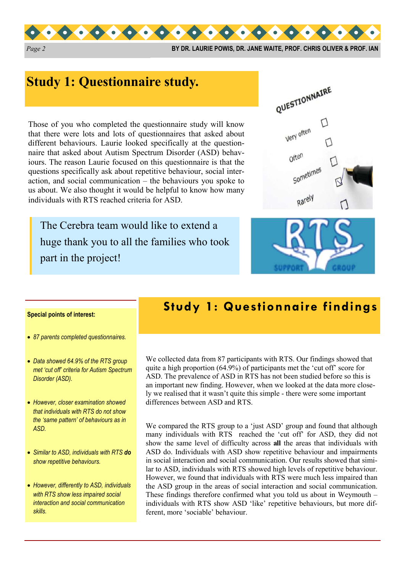

*Page 2* **BY DR. LAURIE POWIS, DR. JANE WAITE, PROF. CHRIS OLIVER & PROF. IAN** 

# **Study 1: Questionnaire study.**

Those of you who completed the questionnaire study will know that there were lots and lots of questionnaires that asked about different behaviours. Laurie looked specifically at the questionnaire that asked about Autism Spectrum Disorder (ASD) behaviours. The reason Laurie focused on this questionnaire is that the questions specifically ask about repetitive behaviour, social interaction, and social communication – the behaviours you spoke to us about. We also thought it would be helpful to know how many individuals with RTS reached criteria for ASD.

The Cerebra team would like to extend a huge thank you to all the families who took part in the project!





#### **Special points of interest:**

- *87 parents completed questionnaires.*
- *Data showed 64.9% of the RTS group met 'cut off' criteria for Autism Spectrum Disorder (ASD).*
- *However, closer examination showed that individuals with RTS do not show the 'same pattern' of behaviours as in ASD.*
- *Similar to ASD, individuals with RTS do show repetitive behaviours.*
- *However, differently to ASD, individuals with RTS show less impaired social interaction and social communication skills.*

## **Study 1: Questionnaire findings**

We collected data from 87 participants with RTS. Our findings showed that quite a high proportion (64.9%) of participants met the 'cut off' score for ASD. The prevalence of ASD in RTS has not been studied before so this is an important new finding. However, when we looked at the data more closely we realised that it wasn't quite this simple - there were some important differences between ASD and RTS.

We compared the RTS group to a 'just ASD' group and found that although many individuals with RTS reached the 'cut off' for ASD, they did not show the same level of difficulty across **all** the areas that individuals with ASD do. Individuals with ASD show repetitive behaviour and impairments in social interaction and social communication. Our results showed that similar to ASD, individuals with RTS showed high levels of repetitive behaviour. However, we found that individuals with RTS were much less impaired than the ASD group in the areas of social interaction and social communication. These findings therefore confirmed what you told us about in Weymouth – individuals with RTS show ASD 'like' repetitive behaviours, but more different, more 'sociable' behaviour.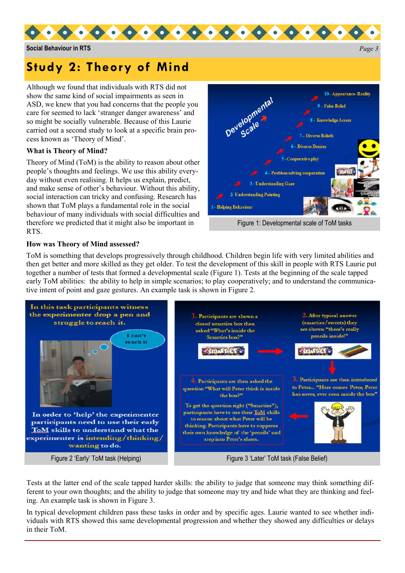

**Social Behaviour in RTS** *Page 3* 

# **Study 2: Theory of Mind**

Although we found that individuals with RTS did not show the same kind of social impairments as seen in ASD, we knew that you had concerns that the people you care for seemed to lack 'stranger danger awareness' and so might be socially vulnerable. Because of this Laurie carried out a second study to look at a specific brain process known as 'Theory of Mind'.

## **What is Theory of Mind?**

Theory of Mind (ToM) is the ability to reason about other people's thoughts and feelings. We use this ability everyday without even realising. It helps us explain, predict, and make sense of other's behaviour. Without this ability, social interaction can tricky and confusing. Research has shown that ToM plays a fundamental role in the social behaviour of many individuals with social difficulties and therefore we predicted that it might also be important in RTS.



## **How was Theory of Mind assessed?**

ToM is something that develops progressively through childhood. Children begin life with very limited abilities and then get better and more skilled as they get older. To test the development of this skill in people with RTS Laurie put together a number of tests that formed a developmental scale (Figure 1). Tests at the beginning of the scale tapped early ToM abilities: the ability to help in simple scenarios; to play cooperatively; and to understand the communicative intent of point and gaze gestures. An example task is shown in Figure 2.



Figure 2 'Early' ToM task (Helping) Figure 3 'Later' ToM task (False Belief)

Tests at the latter end of the scale tapped harder skills: the ability to judge that someone may think something different to your own thoughts; and the ability to judge that someone may try and hide what they are thinking and feeling. An example task is shown in Figure 3.

In typical development children pass these tasks in order and by specific ages. Laurie wanted to see whether individuals with RTS showed this same developmental progression and whether they showed any difficulties or delays in their ToM.